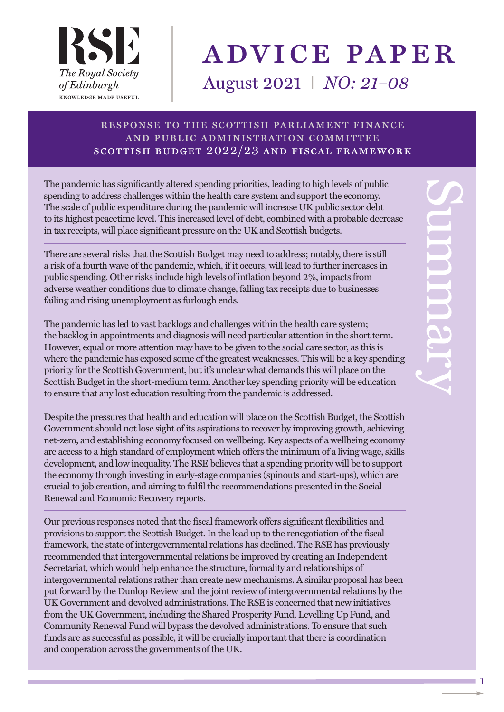

# advice paper August 2021 I *NO: 21–08*

#### response to the scottish parliament finance and public administration committee scottish budget 2022/23 and fiscal framework

The pandemic has significantly altered spending priorities, leading to high levels of public spending to address challenges within the health care system and support the economy. The scale of public expenditure during the pandemic will increase UK public sector debt to its highest peacetime level. This increased level of debt, combined with a probable decrease in tax receipts, will place significant pressure on the UK and Scottish budgets.

There are several risks that the Scottish Budget may need to address; notably, there is still a risk of a fourth wave of the pandemic, which, if it occurs, will lead to further increases in public spending. Other risks include high levels of inflation beyond 2%, impacts from adverse weather conditions due to climate change, falling tax receipts due to businesses failing and rising unemployment as furlough ends.

The pandemic has led to vast backlogs and challenges within the health care system; the backlog in appointments and diagnosis will need particular attention in the short term. However, equal or more attention may have to be given to the social care sector, as this is where the pandemic has exposed some of the greatest weaknesses. This will be a key spending priority for the Scottish Government, but it's unclear what demands this will place on the Scottish Budget in the short-medium term. Another key spending priority will be education to ensure that any lost education resulting from the pandemic is addressed.

Despite the pressures that health and education will place on the Scottish Budget, the Scottish Government should not lose sight of its aspirations to recover by improving growth, achieving net-zero, and establishing economy focused on wellbeing. Key aspects of a wellbeing economy are access to a high standard of employment which offers the minimum of a living wage, skills development, and low inequality. The RSE believes that a spending priority will be to support the economy through investing in early-stage companies (spinouts and start-ups), which are crucial to job creation, and aiming to fulfil the recommendations presented in the Social Renewal and Economic Recovery reports.

Our previous responses noted that the fiscal framework offers significant flexibilities and provisions to support the Scottish Budget. In the lead up to the renegotiation of the fiscal framework, the state of intergovernmental relations has declined. The RSE has previously recommended that intergovernmental relations be improved by creating an Independent Secretariat, which would help enhance the structure, formality and relationships of intergovernmental relations rather than create new mechanisms. A similar proposal has been put forward by the Dunlop Review and the joint review of intergovernmental relations by the UK Government and devolved administrations. The RSE is concerned that new initiatives from the UK Government, including the Shared Prosperity Fund, Levelling Up Fund, and Community Renewal Fund will bypass the devolved administrations. To ensure that such funds are as successful as possible, it will be crucially important that there is coordination and cooperation across the governments of the UK.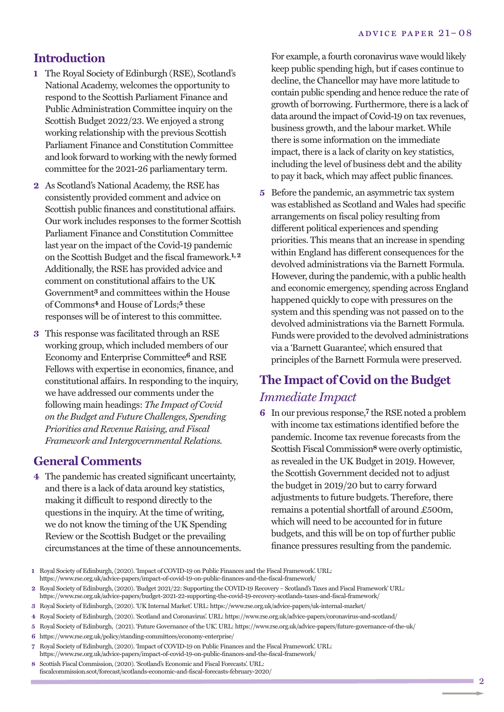### **Introduction**

- **1** The Royal Society of Edinburgh (RSE), Scotland's National Academy, welcomes the opportunity to respond to the Scottish Parliament Finance and Public Administration Committee inquiry on the Scottish Budget 2022/23. We enjoyed a strong working relationship with the previous Scottish Parliament Finance and Constitution Committee and look forward to working with the newly formed committee for the 2021-26 parliamentary term.
- **2** As Scotland's National Academy, the RSE has consistently provided comment and advice on Scottish public finances and constitutional affairs. Our work includes responses to the former Scottish Parliament Finance and Constitution Committee last year on the impact of the Covid-19 pandemic on the Scottish Budget and the fiscal framework. **1,2** Additionally, the RSE has provided advice and comment on constitutional affairs to the UK Government**3** and committees within the House of Commons**4** and House of Lords;**5** these responses will be of interest to this committee.
- **3** This response was facilitated through an RSE working group, which included members of our Economy and Enterprise Committee**6** and RSE Fellows with expertise in economics, finance, and constitutional affairs. In responding to the inquiry, we have addressed our comments under the following main headings: *The Impact of Covid on the Budget and Future Challenges, Spending Priorities and Revenue Raising, and Fiscal Framework and Intergovernmental Relations.*

#### **General Comments**

**College** 

**4** The pandemic has created significant uncertainty, and there is a lack of data around key statistics, making it difficult to respond directly to the questions in the inquiry. At the time of writing, we do not know the timing of the UK Spending Review or the Scottish Budget or the prevailing circumstances at the time of these announcements. For example, a fourth coronavirus wave would likely keep public spending high, but if cases continue to decline, the Chancellor may have more latitude to contain public spending and hence reduce the rate of growth of borrowing. Furthermore, there is a lack of data around the impact of Covid-19 on tax revenues, business growth, and the labour market. While there is some information on the immediate impact, there is a lack of clarity on key statistics, including the level of business debt and the ability to pay it back, which may affect public finances.

**5** Before the pandemic, an asymmetric tax system was established as Scotland and Wales had specific arrangements on fiscal policy resulting from different political experiences and spending priorities. This means that an increase in spending within England has different consequences for the devolved administrations via the Barnett Formula. However, during the pandemic, with a public health and economic emergency, spending across England happened quickly to cope with pressures on the system and this spending was not passed on to the devolved administrations via the Barnett Formula. Funds were provided to the devolved administrations via a 'Barnett Guarantee', which ensured that principles of the Barnett Formula were preserved.

# **The Impact of Covid on the Budget** *Immediate Impact*

**6** In our previous response, **7** the RSE noted a problem with income tax estimations identified before the pandemic. Income tax revenue forecasts from the Scottish Fiscal Commission<sup>8</sup> were overly optimistic, as revealed in the UK Budget in 2019. However, the Scottish Government decided not to adjust the budget in 2019/20 but to carry forward adjustments to future budgets. Therefore, there remains a potential shortfall of around £500m, which will need to be accounted for in future budgets, and this will be on top of further public finance pressures resulting from the pandemic.

- **7** Royal Society of Edinburgh,(2020). 'Impact of COVID-19 on Public Finances and the Fiscal Framework'. URL: https://www.rse.org.uk/advice-papers/impact-of-covid-19-on-public-finances-and-the-fiscal-framework/
- **8** Scottish Fiscal Commission,(2020). 'Scotland's Economic and Fiscal Forecasts'. URL: fiscalcommission.scot/forecast/scotlands-economic-and-fiscal-forecasts-february-2020/

**<sup>1</sup>** Royal Society of Edinburgh,(2020). 'Impact of COVID-19 on Public Finances and the Fiscal Framework'. URL: https://www.rse.org.uk/advice-papers/impact-of-covid-19-on-public-finances-and-the-fiscal-framework/

**<sup>2</sup>** Royal Society of Edinburgh,(2020). 'Budget 2021/22: Supporting the COVID-19 Recovery – Scotland's Taxes and Fiscal Framework' URL:

https://www.rse.org.uk/advice-papers/budget-2021-22-supporting-the-covid-19-recovery-scotlands-taxes-and-fiscal-framework/

**<sup>3</sup>** Royal Society of Edinburgh,(2020). 'UK Internal Market'. URL: https://www.rse.org.uk/advice-papers/uk-internal-market/

**<sup>4</sup>** Royal Society of Edinburgh,(2020). 'Scotland and Coronavirus'. URL: https://www.rse.org.uk/advice-papers/coronavirus-and-scotland/

**<sup>5</sup>** Royal Society of Edinburgh, (2021). 'Future Governance of the UK'. URL: https://www.rse.org.uk/advice-papers/future-governance-of-the-uk/

**<sup>6</sup>** https://www.rse.org.uk/policy/standing-committees/economy-enterprise/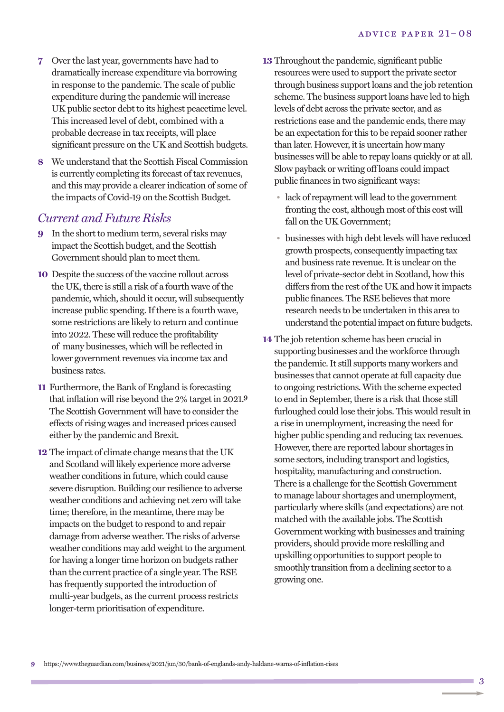- **7** Over the last year, governments have had to dramatically increase expenditure via borrowing in response to the pandemic. The scale of public expenditure during the pandemic will increase UK public sector debt to its highest peacetime level. This increased level of debt, combined with a probable decrease in tax receipts, will place significant pressure on the UK and Scottish budgets.
- **8** We understand that the Scottish Fiscal Commission is currently completing its forecast of tax revenues, and this may provide a clearer indication of some of the impacts of Covid-19 on the Scottish Budget.

#### *Current and Future Risks*

- **9** In the short to medium term, several risks may impact the Scottish budget, and the Scottish Government should plan to meet them.
- **10** Despite the success of the vaccine rollout across the UK, there is still a risk of a fourth wave of the pandemic, which, should it occur, will subsequently increase public spending. If there is a fourth wave, some restrictions are likely to return and continue into 2022. These will reduce the profitability of many businesses, which will be reflected in lower government revenues via income tax and business rates.
- **11** Furthermore, the Bank of England is forecasting that inflation will rise beyond the  $2\%$  target in  $2021$ .<sup>9</sup> The Scottish Government will have to consider the effects of rising wages and increased prices caused either by the pandemic and Brexit.
- **12** The impact of climate change means that the UK and Scotland will likely experience more adverse weather conditions in future, which could cause severe disruption. Building our resilience to adverse weather conditions and achieving net zero will take time; therefore, in the meantime, there may be impacts on the budget to respond to and repair damage from adverse weather. The risks of adverse weather conditions may add weight to the argument for having a longer time horizon on budgets rather than the current practice of a single year. The RSE has frequently supported the introduction of multi-year budgets, as the current process restricts longer-term prioritisation of expenditure.
- **13** Throughout the pandemic, significant public resources were used to support the private sector through business support loans and the job retention scheme. The business support loans have led to high levels of debt across the private sector, and as restrictions ease and the pandemic ends, there may be an expectation for this to be repaid sooner rather than later. However, it is uncertain how many businesses will be able to repay loans quickly or at all. Slow payback or writing off loans could impact public finances in two significant ways:
	- lack of repayment will lead to the government fronting the cost, although most of this cost will fall on the UK Government;
	- businesses with high debt levels will have reduced growth prospects, consequently impacting tax and business rate revenue. It is unclear on the level of private-sector debtin Scotland, how this differs from the rest of the UK and how it impacts public finances. The RSE believes that more research needs to be undertaken in this area to understand the potential impact on future budgets.
- **14** The job retention scheme has been crucial in supporting businesses and the workforce through the pandemic. It still supports many workers and businesses that cannot operate at full capacity due to ongoing restrictions. With the scheme expected to end in September, there is a risk that those still furloughed could lose their jobs. This would result in a rise in unemployment, increasing the need for higher public spending and reducing tax revenues. However, there are reported labour shortages in some sectors, including transport and logistics, hospitality, manufacturing and construction. There is a challenge for the Scottish Government to manage labour shortages and unemployment, particularly where skills (and expectations) are not matched with the available jobs. The Scottish Government working with businesses and training providers, should provide more reskilling and upskilling opportunities to support people to smoothly transition from a declining sector to a growing one.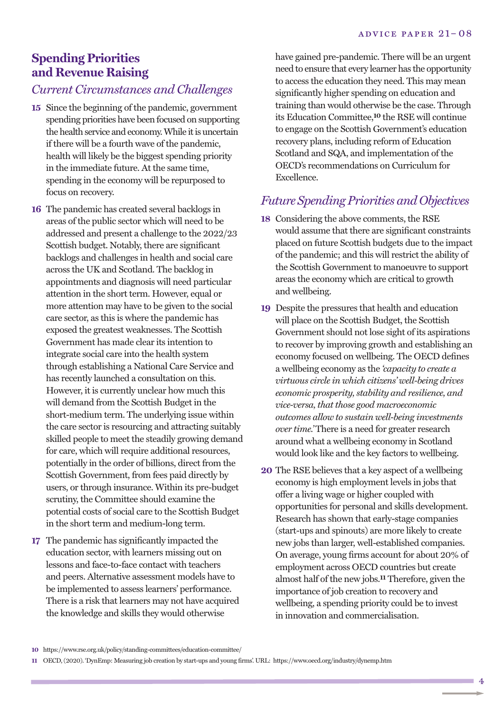# **Spending Priorities and Revenue Raising**

#### *Current Circumstances and Challenges*

- **15** Since the beginning of the pandemic, government spending priorities have been focused on supporting the health service and economy. While it is uncertain if there will be a fourth wave of the pandemic, health will likely be the biggest spending priority in the immediate future. At the same time, spending in the economy will be repurposed to focus on recovery.
- **16** The pandemic has created several backlogs in areas of the public sector which will need to be addressed and present a challenge to the 2022/23 Scottish budget. Notably, there are significant backlogs and challenges in health and social care across the UK and Scotland. The backlog in appointments and diagnosis will need particular attention in the short term. However, equal or more attention may have to be given to the social care sector, as this is where the pandemic has exposed the greatest weaknesses. The Scottish Government has made clear its intention to integrate social care into the health system through establishing a National Care Service and has recently launched a consultation on this. However, it is currently unclear how much this will demand from the Scottish Budget in the short-medium term. The underlying issue within the care sector is resourcing and attracting suitably skilled people to meet the steadily growing demand for care, which will require additional resources, potentially in the order of billions, direct from the Scottish Government, from fees paid directly by users, or through insurance. Within its pre-budget scrutiny, the Committee should examine the potential costs of social care to the Scottish Budget in the short term and medium-long term.
- **17** The pandemic has significantly impacted the education sector, with learners missing out on lessons and face-to-face contact with teachers and peers. Alternative assessment models have to be implemented to assess learners' performance. There is a risk that learners may not have acquired the knowledge and skills they would otherwise

have gained pre-pandemic. There will be an urgent need to ensure that every learner has the opportunity to access the education they need. This may mean significantly higher spending on education and training than would otherwise be the case. Through its Education Committee, **10** the RSE will continue to engage on the Scottish Government's education recovery plans, including reform of Education Scotland and SQA, and implementation of the OECD's recommendations on Curriculum for Excellence.

## *Future Spending Priorities and Objectives*

- **18** Considering the above comments, the RSE would assume that there are significant constraints placed on future Scottish budgets due to the impact of the pandemic; and this will restrict the ability of the Scottish Government to manoeuvre to support areas the economy which are critical to growth and wellbeing.
- **19** Despite the pressures that health and education will place on the Scottish Budget, the Scottish Government should not lose sight of its aspirations to recover by improving growth and establishing an economy focused on wellbeing. The OECD defines a wellbeing economy as the *'capacity to create a virtuous circle in which citizens' well-being drives economic prosperity, stability and resilience, and vice-versa, that those good macroeconomic outcomes allow to sustain well-being investments over time.'* There is a need for greater research around what a wellbeing economy in Scotland would look like and the key factors to wellbeing.
- **20** The RSE believes that a key aspect of a wellbeing economy is high employment levels in jobs that offer a living wage or higher coupled with opportunities for personal and skills development. Research has shown that early-stage companies (start-ups and spinouts) are more likely to create new jobs than larger, well-established companies. On average, young firms account for about 20% of employment across OECD countries but create almost half of the new jobs. **11** Therefore, given the importance of job creation to recovery and wellbeing, a spending priority could be to invest in innovation and commercialisation.

**<sup>10</sup>** https://www.rse.org.uk/policy/standing-committees/education-committee/

**<sup>11</sup>** OECD,(2020). 'DynEmp: Measuring job creation by start-ups and young firms'. URL: https://www.oecd.org/industry/dynemp.htm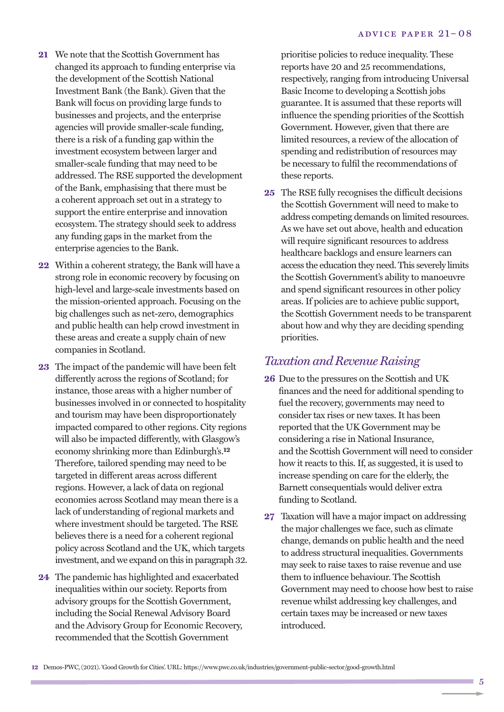- **21** We note that the Scottish Government has changed its approach to funding enterprise via the development of the Scottish National Investment Bank (the Bank). Given that the Bank will focus on providing large funds to businesses and projects, and the enterprise agencies will provide smaller-scale funding, there is a risk of a funding gap within the investment ecosystem between larger and smaller-scale funding that may need to be addressed. The RSE supported the development of the Bank, emphasising that there must be a coherent approach set out in a strategy to support the entire enterprise and innovation ecosystem. The strategy should seek to address any funding gaps in the market from the enterprise agencies to the Bank.
- **22** Within a coherent strategy, the Bank will have a strong role in economic recovery by focusing on high-level and large-scale investments based on the mission-oriented approach. Focusing on the big challenges such as net-zero, demographics and public health can help crowd investment in these areas and create a supply chain of new companies in Scotland.
- **23** The impact of the pandemic will have been felt differently across the regions of Scotland; for instance, those areas with a higher number of businesses involved in or connected to hospitality and tourism may have been disproportionately impacted compared to other regions. City regions will also be impacted differently, with Glasgow's economy shrinking more than Edinburgh's. **12** Therefore, tailored spending may need to be targeted in different areas across different regions. However, a lack of data on regional economies across Scotland may mean there is a lack of understanding of regional markets and where investment should be targeted. The RSE believes there is a need for a coherent regional policy across Scotland and the UK, which targets investment, and we expand on this in paragraph 32.
- **24** The pandemic has highlighted and exacerbated inequalities within our society. Reports from advisory groups for the Scottish Government, including the Social Renewal Advisory Board and the Advisory Group for Economic Recovery, recommended that the Scottish Government

prioritise policies to reduce inequality. These reports have 20 and 25 recommendations, respectively, ranging from introducing Universal Basic Income to developing a Scottish jobs guarantee. It is assumed that these reports will influence the spending priorities of the Scottish Government. However, given that there are limited resources, a review of the allocation of spending and redistribution of resources may be necessary to fulfil the recommendations of these reports.

**25** The RSE fully recognises the difficult decisions the Scottish Government will need to make to address competing demands on limited resources. As we have set out above, health and education will require significant resources to address healthcare backlogs and ensure learners can access the education they need.This severely limits the Scottish Government's ability to manoeuvre and spend significant resources in other policy areas. If policies are to achieve public support, the Scottish Government needs to be transparent about how and why they are deciding spending priorities.

#### *Taxation and Revenue Raising*

- **26** Due to the pressures on the Scottish and UK finances and the need for additional spending to fuel the recovery, governments may need to consider tax rises or new taxes. It has been reported that the UK Government may be considering a rise in National Insurance, and the Scottish Government will need to consider how it reacts to this. If, as suggested, it is used to increase spending on care for the elderly, the Barnett consequentials would deliver extra funding to Scotland.
- **27** Taxation will have a major impact on addressing the major challenges we face, such as climate change, demands on public health and the need to address structural inequalities. Governments may seek to raise taxes to raise revenue and use them to influence behaviour. The Scottish Government may need to choose how best to raise revenue whilst addressing key challenges, and certain taxes may be increased or new taxes introduced.

**12** Demos-PWC,(2021). 'Good Growth for Cities'. URL: https://www.pwc.co.uk/industries/government-public-sector/good-growth.html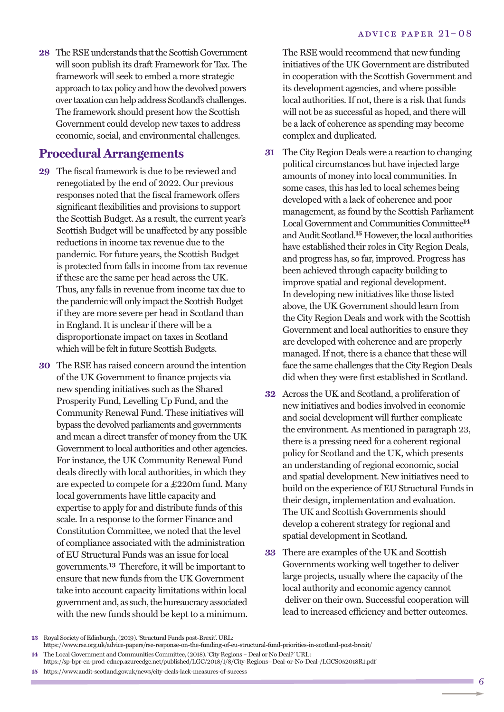**28** The RSE understands that the Scottish Government will soon publish its draft Framework for Tax. The framework will seek to embed a more strategic approach to tax policy and how the devolved powers over taxation can help address Scotland's challenges. The framework should present how the Scottish Government could develop new taxes to address economic, social, and environmental challenges.

#### **Procedural Arrangements**

- **29** The fiscal framework is due to be reviewed and renegotiated by the end of 2022. Our previous responses noted that the fiscal framework offers significant flexibilities and provisions to support the Scottish Budget. As a result, the current year's Scottish Budget will be unaffected by any possible reductions in income tax revenue due to the pandemic. For future years, the Scottish Budget is protected from falls in income from tax revenue if these are the same per head across the UK. Thus, any falls in revenue from income tax due to the pandemic will only impact the Scottish Budget if they are more severe per head in Scotland than in England. It is unclear if there will be a disproportionate impact on taxes in Scotland which will be felt in future Scottish Budgets.
- **30** The RSE has raised concern around the intention of the UK Government to finance projects via new spending initiatives such as the Shared Prosperity Fund, Levelling Up Fund, and the Community Renewal Fund. These initiatives will bypass the devolved parliaments and governments and mean a direct transfer of money from the UK Government to local authorities and other agencies. For instance, the UK Community Renewal Fund deals directly with local authorities, in which they are expected to compete for a £220m fund. Many local governments have little capacity and expertise to apply for and distribute funds of this scale. In a response to the former Finance and Constitution Committee, we noted that the level of compliance associated with the administration of EU Structural Funds was an issue for local governments. **13** Therefore, it will be important to ensure that new funds from the UK Government take into account capacity limitations within local government and, as such, the bureaucracy associated with the new funds should be kept to a minimum.

The RSE would recommend that new funding initiatives of the UK Government are distributed in cooperation with the Scottish Government and its development agencies, and where possible local authorities. If not, there is a risk that funds will not be as successful as hoped, and there will be a lack of coherence as spending may become complex and duplicated.

- **31** The City Region Deals were a reaction to changing political circumstances but have injected large amounts of money into local communities. In some cases, this has led to local schemes being developed with a lack of coherence and poor management, as found by the Scottish Parliament Local Government and Communities Committee<sup>14</sup> and Audit Scotland.<sup>15</sup> However, the local authorities have established their roles in City Region Deals, and progress has, so far, improved. Progress has been achieved through capacity building to improve spatial and regional development. In developing new initiatives like those listed above, the UK Government should learn from the City Region Deals and work with the Scottish Government and local authorities to ensure they are developed with coherence and are properly managed. If not, there is a chance that these will face the same challenges that the City Region Deals did when they were first established in Scotland.
- **32** Across the UK and Scotland, a proliferation of new initiatives and bodies involved in economic and social development will further complicate the environment. As mentioned in paragraph 23, there is a pressing need for a coherent regional policy for Scotland and the UK, which presents an understanding of regional economic, social and spatial development. New initiatives need to build on the experience of EU Structural Funds in their design, implementation and evaluation. The UK and Scottish Governments should develop a coherent strategy for regional and spatial development in Scotland.
- **33** There are examples of the UK and Scottish Governments working well together to deliver large projects, usually where the capacity of the local authority and economic agency cannot deliver on their own. Successful cooperation will lead to increased efficiency and better outcomes.

**<sup>13</sup>** Royal Society of Edinburgh,(2019). 'Structural Funds post-Brexit'. URL:

https://www.rse.org.uk/advice-papers/rse-response-on-the-funding-of-eu-structural-fund-priorities-in-scotland-post-brexit/

**<sup>14</sup>** The Local Government and Communities Committee,(2018). 'City Regions – Deal or No Deal?' URL:

https://sp-bpr-en-prod-cdnep.azureedge.net/published/LGC/2018/1/8/City-Regions--Deal-or-No-Deal-/LGCS052018R1.pdf **15** https://www.audit-scotland.gov.uk/news/city-deals-lack-measures-of-success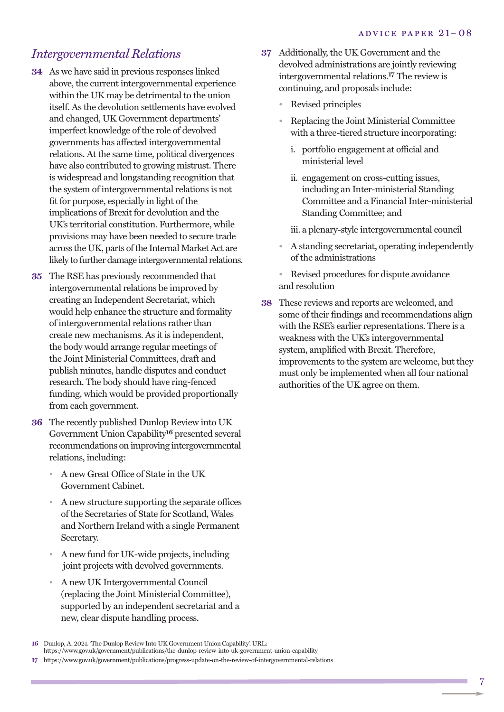#### *Intergovernmental Relations*

- **34** As we have said in previous responses linked above, the current intergovernmental experience within the UK may be detrimental to the union itself. As the devolution settlements have evolved and changed, UK Government departments' imperfect knowledge of the role of devolved governments has affected intergovernmental relations. At the same time, political divergences have also contributed to growing mistrust. There is widespread and longstanding recognition that the system of intergovernmental relations is not fit for purpose, especially in light of the implications of Brexit for devolution and the UK's territorial constitution. Furthermore, while provisions may have been needed to secure trade across the UK, parts of the Internal Market Act are likely to further damage intergovernmental relations.
- **35** The RSE has previously recommended that intergovernmental relations be improved by creating an Independent Secretariat, which would help enhance the structure and formality of intergovernmental relations rather than create new mechanisms. As it is independent, the body would arrange regular meetings of the Joint Ministerial Committees, draft and publish minutes, handle disputes and conduct research. The body should have ring-fenced funding, which would be provided proportionally from each government.
- **36** The recently published Dunlop Review into UK Government Union Capability**16** presented several recommendations on improving intergovernmental relations, including:
	- A new Great Office of State in the UK Government Cabinet.
	- A new structure supporting the separate offices of the Secretaries of State for Scotland, Wales and Northern Ireland with a single Permanent Secretary.
	- A new fund for UK-wide projects, including joint projects with devolved governments.
	- A new UK Intergovernmental Council (replacing the Joint Ministerial Committee), supported by an independent secretariat and a new, clear dispute handling process.
- **37** Additionally, the UK Government and the devolved administrations are jointly reviewing intergovernmental relations. **17** The review is continuing, and proposals include:
	- Revised principles
	- Replacing the Joint Ministerial Committee with a three-tiered structure incorporating:
		- i. portfolio engagement at official and ministerial level
		- ii. engagement on cross-cutting issues, including an Inter-ministerial Standing Committee and a Financial Inter-ministerial Standing Committee; and
		- iii. a plenary-style intergovernmental council
	- A standing secretariat, operating independently of the administrations
	- Revised procedures for dispute avoidance and resolution
- **38** These reviews and reports are welcomed, and some of their findings and recommendations align with the RSE's earlier representations. There is a weakness with the UK's intergovernmental system, amplified with Brexit. Therefore, improvements to the system are welcome, but they must only be implemented when all four national authorities of the UK agree on them.

**<sup>16</sup>** Dunlop, A. 2021. 'The Dunlop Review Into UK Government Union Capability'. URL:

https://www.gov.uk/government/publications/the-dunlop-review-into-uk-government-union-capability

**<sup>17</sup>** https://www.gov.uk/government/publications/progress-update-on-the-review-of-intergovernmental-relations